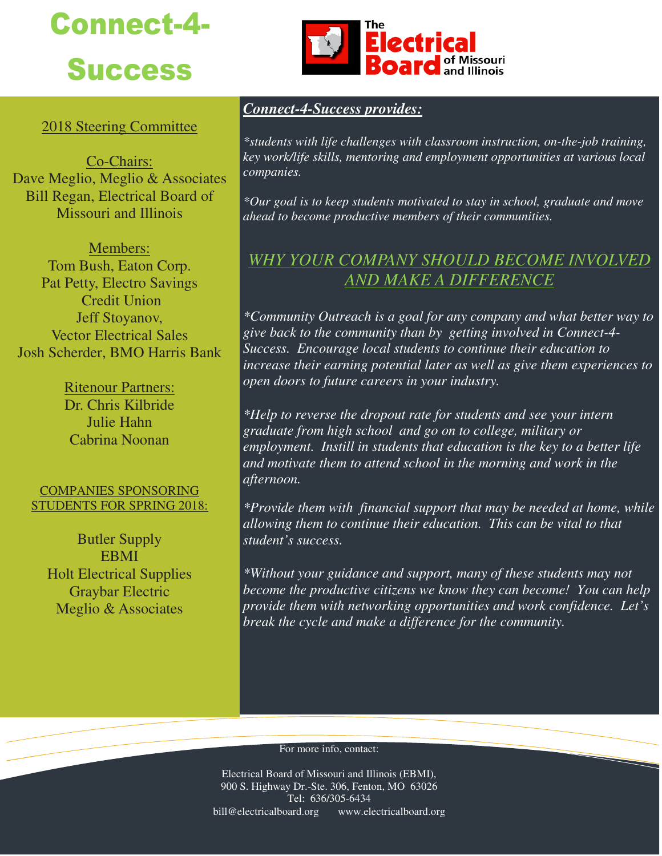# Connect-4- **Success**



Co-Chairs: Dave Meglio, Meglio & Associates Bill Regan, Electrical Board of Missouri and Illinois

Members: Tom Bush, Eaton Corp. Pat Petty, Electro Savings Credit Union Jeff Stoyanov, Vector Electrical Sales Josh Scherder, BMO Harris Bank

> Ritenour Partners: Dr. Chris Kilbride Julie Hahn Cabrina Noonan

#### COMPANIES SPONSORING STUDENTS FOR SPRING 2018:

Butler Supply EBMI Holt Electrical Supplies Graybar Electric Meglio & Associates



### *Connect-4-Success provides:*

*\*students with life challenges with classroom instruction, on-the-job training, key work/life skills, mentoring and employment opportunities at various local companies.* 

*\*Our goal is to keep students motivated to stay in school, graduate and move ahead to become productive members of their communities.* 

## *WHY YOUR COMPANY SHOULD BECOME INVOLVED AND MAKE A DIFFERENCE*

*\*Community Outreach is a goal for any company and what better way to give back to the community than by getting involved in Connect-4- Success. Encourage local students to continue their education to increase their earning potential later as well as give them experiences to open doors to future careers in your industry.* 

*\*Help to reverse the dropout rate for students and see your intern graduate from high school and go on to college, military or employment. Instill in students that education is the key to a better life and motivate them to attend school in the morning and work in the afternoon.* 

*\*Provide them with financial support that may be needed at home, while allowing them to continue their education. This can be vital to that student's success.* 

*\*Without your guidance and support, many of these students may not become the productive citizens we know they can become! You can help provide them with networking opportunities and work confidence. Let's break the cycle and make a difference for the community.* 

#### For more info, contact:

Electrical Board of Missouri and Illinois (EBMI), 900 S. Highway Dr.-Ste. 306, Fenton, MO 63026 Tel: 636/305-6434 bill@electricalboard.org www.electricalboard.org